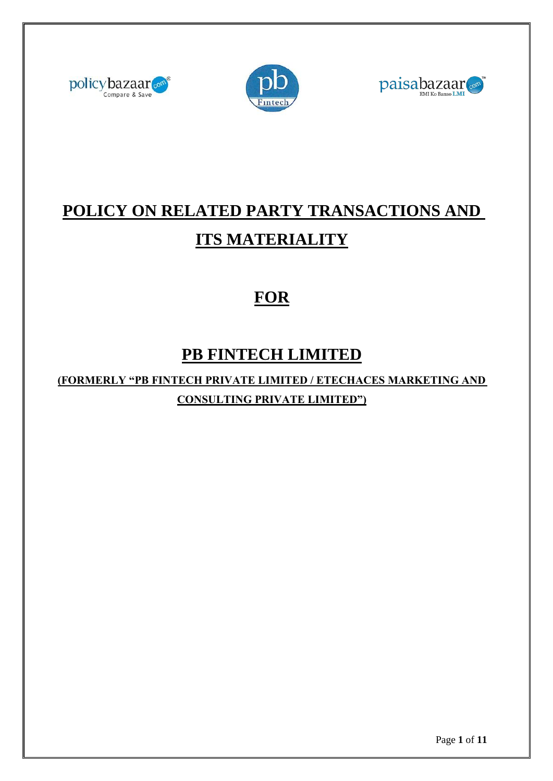





# **POLICY ON RELATED PARTY TRANSACTIONS AND ITS MATERIALITY**

## **FOR**

### **PB FINTECH LIMITED**

**(FORMERLY "PB FINTECH PRIVATE LIMITED / ETECHACES MARKETING AND CONSULTING PRIVATE LIMITED")**

Page **1** of **11**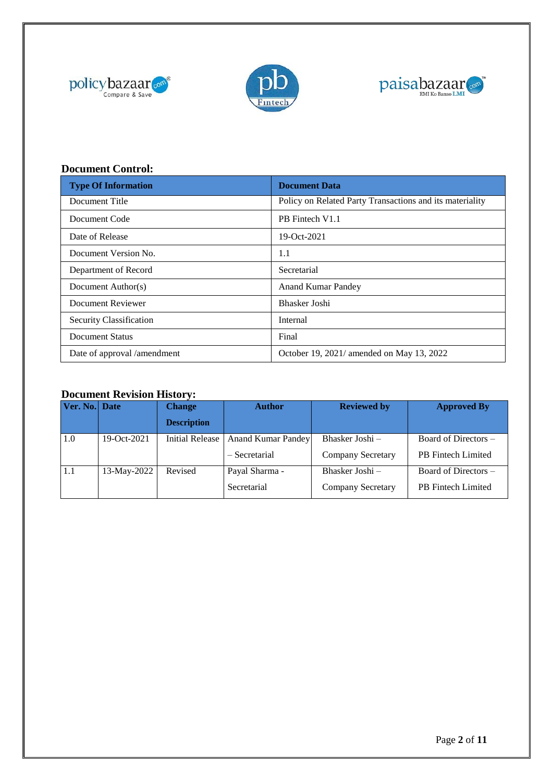





### **Document Control:**

| <b>Type Of Information</b>  | <b>Document Data</b>                                     |  |
|-----------------------------|----------------------------------------------------------|--|
| Document Title              | Policy on Related Party Transactions and its materiality |  |
| Document Code               | PB Fintech V1.1                                          |  |
| Date of Release             | 19-Oct-2021                                              |  |
| Document Version No.        | 1.1                                                      |  |
| Department of Record        | Secretarial                                              |  |
| Document Author(s)          | <b>Anand Kumar Pandey</b>                                |  |
| Document Reviewer           | Bhasker Joshi                                            |  |
| Security Classification     | Internal                                                 |  |
| Document Status             | Final                                                    |  |
| Date of approval /amendment | October 19, 2021/ amended on May 13, 2022                |  |

#### **Document Revision History:**

| Ver. No. Date |             | <b>Change</b>          | <b>Author</b>             | <b>Reviewed by</b>       | <b>Approved By</b>        |
|---------------|-------------|------------------------|---------------------------|--------------------------|---------------------------|
|               |             | <b>Description</b>     |                           |                          |                           |
| 1.0           | 19-Oct-2021 | <b>Initial Release</b> | <b>Anand Kumar Pandey</b> | Bhasker Joshi –          | Board of Directors –      |
|               |             |                        | - Secretarial             | <b>Company Secretary</b> | <b>PB</b> Fintech Limited |
| 1.1           | 13-May-2022 | Revised                | Payal Sharma -            | Bhasker Joshi –          | Board of Directors –      |
|               |             |                        | Secretarial               | Company Secretary        | <b>PB</b> Fintech Limited |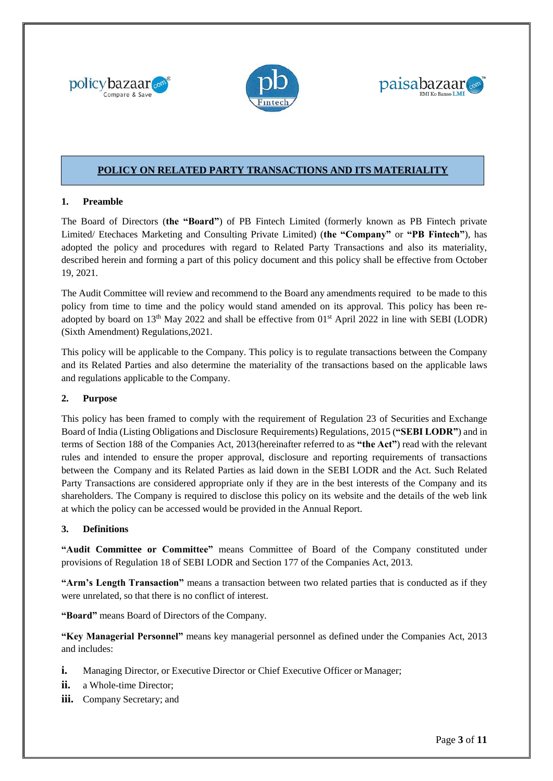





#### **POLICY ON RELATED PARTY TRANSACTIONS AND ITS MATERIALITY**

#### **1. Preamble**

The Board of Directors (**the "Board"**) of PB Fintech Limited (formerly known as PB Fintech private Limited/ Etechaces Marketing and Consulting Private Limited) (**the "Company"** or **"PB Fintech"**), has adopted the policy and procedures with regard to Related Party Transactions and also its materiality, described herein and forming a part of this policy document and this policy shall be effective from October 19, 2021.

The Audit Committee will review and recommend to the Board any amendments required to be made to this policy from time to time and the policy would stand amended on its approval. This policy has been readopted by board on 13<sup>th</sup> May 2022 and shall be effective from 01<sup>st</sup> April 2022 in line with SEBI (LODR) (Sixth Amendment) Regulations,2021.

This policy will be applicable to the Company. This policy is to regulate transactions between the Company and its Related Parties and also determine the materiality of the transactions based on the applicable laws and regulations applicable to the Company.

#### **2. Purpose**

This policy has been framed to comply with the requirement of Regulation 23 of Securities and Exchange Board of India (Listing Obligations and Disclosure Requirements) Regulations, 2015 (**"SEBI LODR"**) and in terms of Section 188 of the Companies Act, 2013(hereinafter referred to as **"the Act"**) read with the relevant rules and intended to ensure the proper approval, disclosure and reporting requirements of transactions between the Company and its Related Parties as laid down in the SEBI LODR and the Act. Such Related Party Transactions are considered appropriate only if they are in the best interests of the Company and its shareholders. The Company is required to disclose this policy on its website and the details of the web link at which the policy can be accessed would be provided in the Annual Report.

#### **3. Definitions**

**"Audit Committee or Committee"** means Committee of Board of the Company constituted under provisions of Regulation 18 of SEBI LODR and Section 177 of the Companies Act, 2013.

**"Arm's Length Transaction"** means a transaction between two related parties that is conducted as if they were unrelated, so that there is no conflict of interest.

**"Board"** means Board of Directors of the Company.

**"Key Managerial Personnel"** means key managerial personnel as defined under the Companies Act, 2013 and includes:

- **i.** Managing Director, or Executive Director or Chief Executive Officer or Manager;
- **ii.** a Whole-time Director:
- **iii.** Company Secretary; and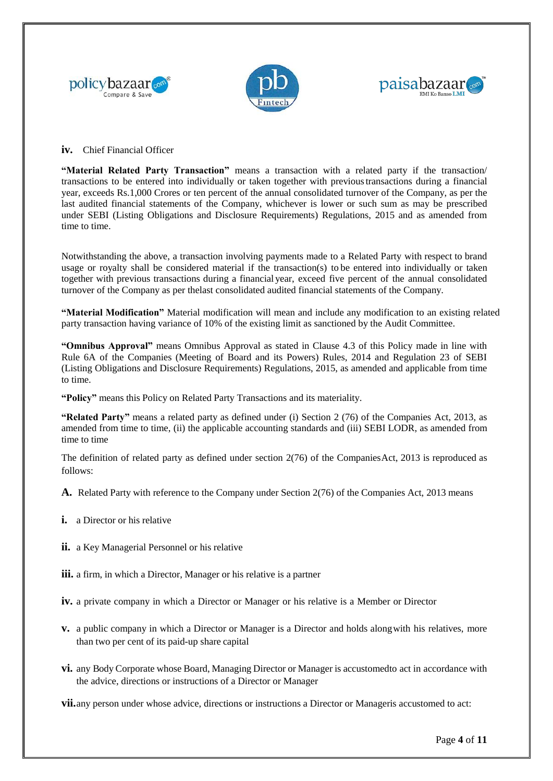





#### **iv.** Chief Financial Officer

**"Material Related Party Transaction"** means a transaction with a related party if the transaction/ transactions to be entered into individually or taken together with previoustransactions during a financial year, exceeds Rs.1,000 Crores or ten percent of the annual consolidated turnover of the Company, as per the last audited financial statements of the Company, whichever is lower or such sum as may be prescribed under SEBI (Listing Obligations and Disclosure Requirements) Regulations, 2015 and as amended from time to time.

Notwithstanding the above, a transaction involving payments made to a Related Party with respect to brand usage or royalty shall be considered material if the transaction(s) to be entered into individually or taken together with previous transactions during a financial year, exceed five percent of the annual consolidated turnover of the Company as per thelast consolidated audited financial statements of the Company.

**"Material Modification"** Material modification will mean and include any modification to an existing related party transaction having variance of 10% of the existing limit as sanctioned by the Audit Committee.

**"Omnibus Approval"** means Omnibus Approval as stated in Clause 4.3 of this Policy made in line with Rule 6A of the Companies (Meeting of Board and its Powers) Rules, 2014 and Regulation 23 of SEBI (Listing Obligations and Disclosure Requirements) Regulations, 2015, as amended and applicable from time to time.

**"Policy"** means this Policy on Related Party Transactions and its materiality.

**"Related Party"** means a related party as defined under (i) Section 2 (76) of the Companies Act, 2013, as amended from time to time, (ii) the applicable accounting standards and (iii) SEBI LODR, as amended from time to time

The definition of related party as defined under section 2(76) of the CompaniesAct, 2013 is reproduced as follows:

**A.** Related Party with reference to the Company under Section 2(76) of the Companies Act, 2013 means

- **i.** a Director or his relative
- **ii.** a Key Managerial Personnel or his relative
- **iii.** a firm, in which a Director, Manager or his relative is a partner
- **iv.** a private company in which a Director or Manager or his relative is a Member or Director
- **v.** a public company in which a Director or Manager is a Director and holds alongwith his relatives, more than two per cent of its paid-up share capital
- **vi.** any Body Corporate whose Board, Managing Director or Manager is accustomedto act in accordance with the advice, directions or instructions of a Director or Manager

**vii.**any person under whose advice, directions or instructions a Director or Manageris accustomed to act: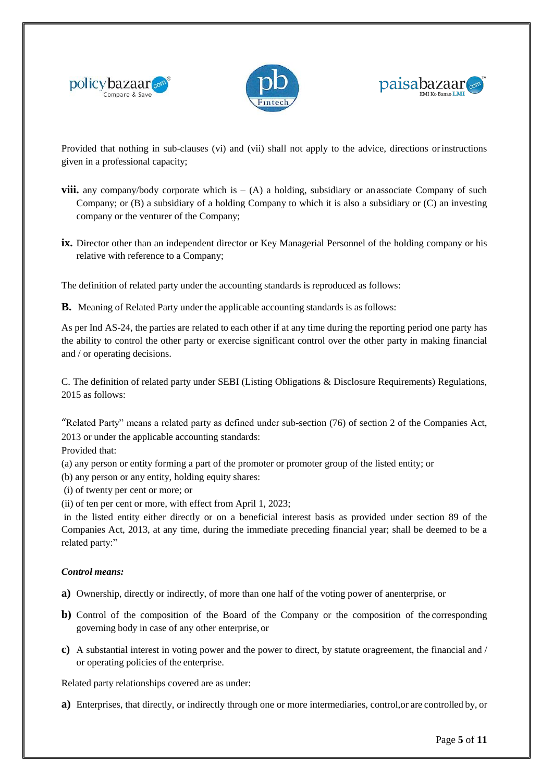





Provided that nothing in sub-clauses (vi) and (vii) shall not apply to the advice, directions orinstructions given in a professional capacity;

- **viii.** any company/body corporate which is (A) a holding, subsidiary or an associate Company of such Company; or (B) a subsidiary of a holding Company to which it is also a subsidiary or (C) an investing company or the venturer of the Company;
- **ix.** Director other than an independent director or Key Managerial Personnel of the holding company or his relative with reference to a Company;

The definition of related party under the accounting standards is reproduced as follows:

**B.** Meaning of Related Party under the applicable accounting standards is as follows:

As per Ind AS-24, the parties are related to each other if at any time during the reporting period one party has the ability to control the other party or exercise significant control over the other party in making financial and / or operating decisions.

C. The definition of related party under SEBI (Listing Obligations & Disclosure Requirements) Regulations, 2015 as follows:

"Related Party" means a related party as defined under sub-section (76) of section 2 of the Companies Act, 2013 or under the applicable accounting standards:

Provided that:

(a) any person or entity forming a part of the promoter or promoter group of the listed entity; or

(b) any person or any entity, holding equity shares:

(i) of twenty per cent or more; or

(ii) of ten per cent or more, with effect from April 1, 2023;

in the listed entity either directly or on a beneficial interest basis as provided under section 89 of the Companies Act, 2013, at any time, during the immediate preceding financial year; shall be deemed to be a related party:"

#### *Control means:*

**a)** Ownership, directly or indirectly, of more than one half of the voting power of anenterprise, or

- **b**) Control of the composition of the Board of the Company or the composition of the corresponding governing body in case of any other enterprise, or
- **c)** A substantial interest in voting power and the power to direct, by statute oragreement, the financial and / or operating policies of the enterprise.

Related party relationships covered are as under:

**a)** Enterprises, that directly, or indirectly through one or more intermediaries, control,or are controlled by, or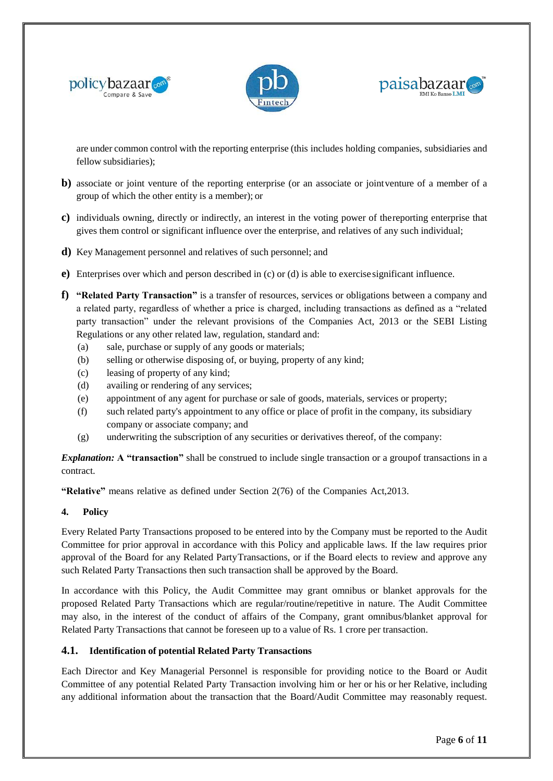





are under common control with the reporting enterprise (this includes holding companies, subsidiaries and fellow subsidiaries);

- **b)** associate or joint venture of the reporting enterprise (or an associate or jointventure of a member of a group of which the other entity is a member); or
- **c)** individuals owning, directly or indirectly, an interest in the voting power of thereporting enterprise that gives them control or significant influence over the enterprise, and relatives of any such individual;
- **d)** Key Management personnel and relatives of such personnel; and
- **e)** Enterprises over which and person described in (c) or (d) is able to exercise significant influence.
- **f) "Related Party Transaction"** is a transfer of resources, services or obligations between a company and a related party, regardless of whether a price is charged, including transactions as defined as a "related party transaction" under the relevant provisions of the Companies Act, 2013 or the SEBI Listing Regulations or any other related law, regulation, standard and:
	- (a) sale, purchase or supply of any goods or materials;
	- (b) selling or otherwise disposing of, or buying, property of any kind;
	- (c) leasing of property of any kind;
	- (d) availing or rendering of any services;
	- (e) appointment of any agent for purchase or sale of goods, materials, services or property;
	- (f) such related party's appointment to any office or place of profit in the company, its subsidiary company or associate company; and
	- (g) underwriting the subscription of any securities or derivatives thereof, of the company:

*Explanation:* A "transaction" shall be construed to include single transaction or a groupof transactions in a contract.

**"Relative"** means relative as defined under Section 2(76) of the Companies Act,2013.

#### **4. Policy**

Every Related Party Transactions proposed to be entered into by the Company must be reported to the Audit Committee for prior approval in accordance with this Policy and applicable laws. If the law requires prior approval of the Board for any Related PartyTransactions, or if the Board elects to review and approve any such Related Party Transactions then such transaction shall be approved by the Board.

In accordance with this Policy, the Audit Committee may grant omnibus or blanket approvals for the proposed Related Party Transactions which are regular/routine/repetitive in nature. The Audit Committee may also, in the interest of the conduct of affairs of the Company, grant omnibus/blanket approval for Related Party Transactions that cannot be foreseen up to a value of Rs. 1 crore per transaction.

#### **4.1. Identification of potential Related Party Transactions**

Each Director and Key Managerial Personnel is responsible for providing notice to the Board or Audit Committee of any potential Related Party Transaction involving him or her or his or her Relative, including any additional information about the transaction that the Board/Audit Committee may reasonably request.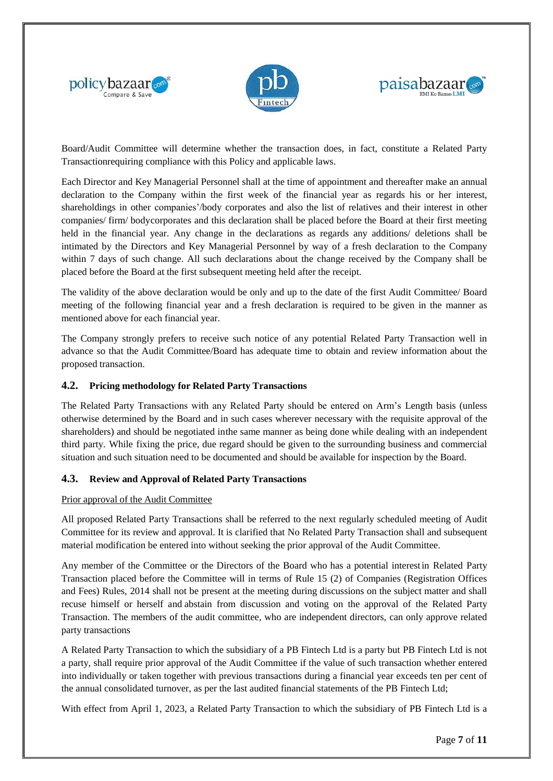





Board/Audit Committee will determine whether the transaction does, in fact, constitute a Related Party Transactionrequiring compliance with this Policy and applicable laws.

Each Director and Key Managerial Personnel shall at the time of appointment and thereafter make an annual declaration to the Company within the first week of the financial year as regards his or her interest, shareholdings in other companies'/body corporates and also the list of relatives and their interest in other companies/ firm/ bodycorporates and this declaration shall be placed before the Board at their first meeting held in the financial year. Any change in the declarations as regards any additions/ deletions shall be intimated by the Directors and Key Managerial Personnel by way of a fresh declaration to the Company within 7 days of such change. All such declarations about the change received by the Company shall be placed before the Board at the first subsequent meeting held after the receipt.

The validity of the above declaration would be only and up to the date of the first Audit Committee/ Board meeting of the following financial year and a fresh declaration is required to be given in the manner as mentioned above for each financial year.

The Company strongly prefers to receive such notice of any potential Related Party Transaction well in advance so that the Audit Committee/Board has adequate time to obtain and review information about the proposed transaction.

#### **4.2. Pricing methodology for Related Party Transactions**

The Related Party Transactions with any Related Party should be entered on Arm's Length basis (unless otherwise determined by the Board and in such cases wherever necessary with the requisite approval of the shareholders) and should be negotiated inthe same manner as being done while dealing with an independent third party. While fixing the price, due regard should be given to the surrounding business and commercial situation and such situation need to be documented and should be available for inspection by the Board.

#### **4.3. Review and Approval of Related Party Transactions**

#### Prior approval of the Audit Committee

All proposed Related Party Transactions shall be referred to the next regularly scheduled meeting of Audit Committee for its review and approval. It is clarified that No Related Party Transaction shall and subsequent material modification be entered into without seeking the prior approval of the Audit Committee.

Any member of the Committee or the Directors of the Board who has a potential interestin Related Party Transaction placed before the Committee will in terms of Rule 15 (2) of Companies (Registration Offices and Fees) Rules, 2014 shall not be present at the meeting during discussions on the subject matter and shall recuse himself or herself and abstain from discussion and voting on the approval of the Related Party Transaction. The members of the audit committee, who are independent directors, can only approve related party transactions

A Related Party Transaction to which the subsidiary of a PB Fintech Ltd is a party but PB Fintech Ltd is not a party, shall require prior approval of the Audit Committee if the value of such transaction whether entered into individually or taken together with previous transactions during a financial year exceeds ten per cent of the annual consolidated turnover, as per the last audited financial statements of the PB Fintech Ltd;

With effect from April 1, 2023, a Related Party Transaction to which the subsidiary of PB Fintech Ltd is a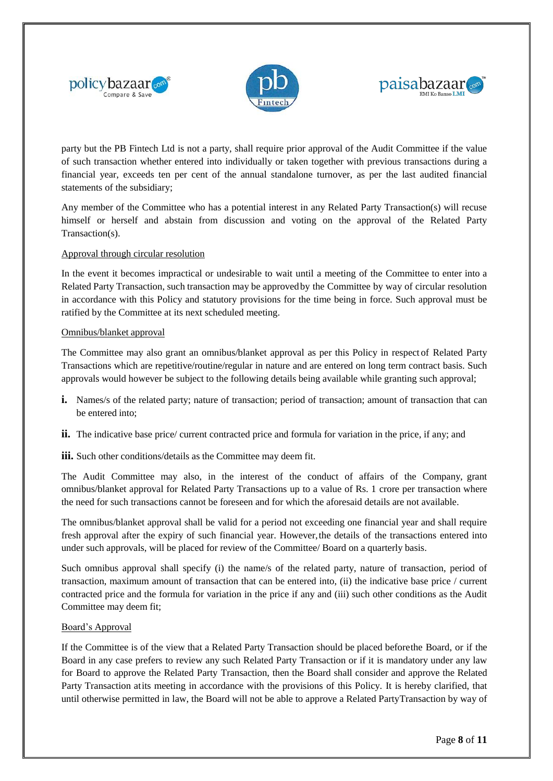





party but the PB Fintech Ltd is not a party, shall require prior approval of the Audit Committee if the value of such transaction whether entered into individually or taken together with previous transactions during a financial year, exceeds ten per cent of the annual standalone turnover, as per the last audited financial statements of the subsidiary;

Any member of the Committee who has a potential interest in any Related Party Transaction(s) will recuse himself or herself and abstain from discussion and voting on the approval of the Related Party Transaction(s).

#### Approval through circular resolution

In the event it becomes impractical or undesirable to wait until a meeting of the Committee to enter into a Related Party Transaction, such transaction may be approved by the Committee by way of circular resolution in accordance with this Policy and statutory provisions for the time being in force. Such approval must be ratified by the Committee at its next scheduled meeting.

#### Omnibus/blanket approval

The Committee may also grant an omnibus/blanket approval as per this Policy in respect of Related Party Transactions which are repetitive/routine/regular in nature and are entered on long term contract basis. Such approvals would however be subject to the following details being available while granting such approval;

- **i.** Names/s of the related party; nature of transaction; period of transaction; amount of transaction that can be entered into;
- **ii.** The indicative base price/ current contracted price and formula for variation in the price, if any; and

iii. Such other conditions/details as the Committee may deem fit.

The Audit Committee may also, in the interest of the conduct of affairs of the Company, grant omnibus/blanket approval for Related Party Transactions up to a value of Rs. 1 crore per transaction where the need for such transactions cannot be foreseen and for which the aforesaid details are not available.

The omnibus/blanket approval shall be valid for a period not exceeding one financial year and shall require fresh approval after the expiry of such financial year. However,the details of the transactions entered into under such approvals, will be placed for review of the Committee/ Board on a quarterly basis.

Such omnibus approval shall specify (i) the name/s of the related party, nature of transaction, period of transaction, maximum amount of transaction that can be entered into, (ii) the indicative base price / current contracted price and the formula for variation in the price if any and (iii) such other conditions as the Audit Committee may deem fit;

#### Board's Approval

If the Committee is of the view that a Related Party Transaction should be placed beforethe Board, or if the Board in any case prefers to review any such Related Party Transaction or if it is mandatory under any law for Board to approve the Related Party Transaction, then the Board shall consider and approve the Related Party Transaction atits meeting in accordance with the provisions of this Policy. It is hereby clarified, that until otherwise permitted in law, the Board will not be able to approve a Related PartyTransaction by way of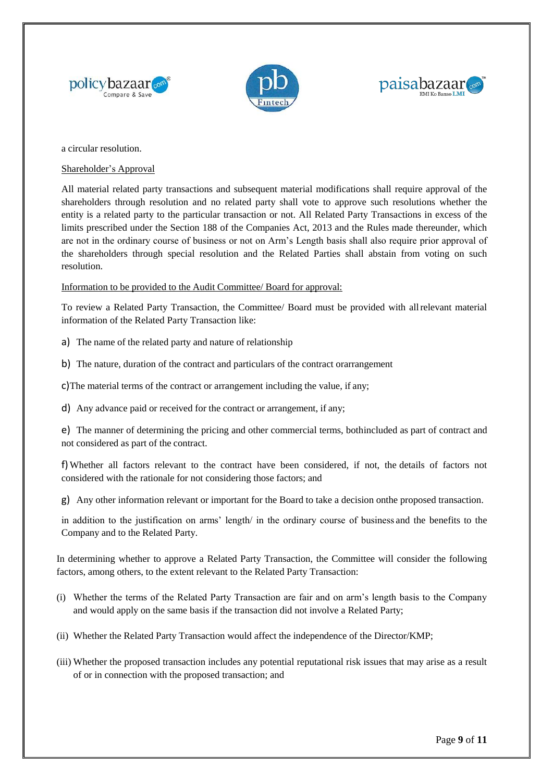





a circular resolution.

Shareholder's Approval

All material related party transactions and subsequent material modifications shall require approval of the shareholders through resolution and no related party shall vote to approve such resolutions whether the entity is a related party to the particular transaction or not. All Related Party Transactions in excess of the limits prescribed under the Section 188 of the Companies Act, 2013 and the Rules made thereunder, which are not in the ordinary course of business or not on Arm's Length basis shall also require prior approval of the shareholders through special resolution and the Related Parties shall abstain from voting on such resolution.

Information to be provided to the Audit Committee/ Board for approval:

To review a Related Party Transaction, the Committee/ Board must be provided with allrelevant material information of the Related Party Transaction like:

a) The name of the related party and nature of relationship

b) The nature, duration of the contract and particulars of the contract orarrangement

c)The material terms of the contract or arrangement including the value, if any;

d) Any advance paid or received for the contract or arrangement, if any;

e) The manner of determining the pricing and other commercial terms, bothincluded as part of contract and not considered as part of the contract.

f)Whether all factors relevant to the contract have been considered, if not, the details of factors not considered with the rationale for not considering those factors; and

g) Any other information relevant or important for the Board to take a decision onthe proposed transaction.

in addition to the justification on arms' length/ in the ordinary course of business and the benefits to the Company and to the Related Party.

In determining whether to approve a Related Party Transaction, the Committee will consider the following factors, among others, to the extent relevant to the Related Party Transaction:

- (i) Whether the terms of the Related Party Transaction are fair and on arm's length basis to the Company and would apply on the same basis if the transaction did not involve a Related Party;
- (ii) Whether the Related Party Transaction would affect the independence of the Director/KMP;
- (iii) Whether the proposed transaction includes any potential reputational risk issues that may arise as a result of or in connection with the proposed transaction; and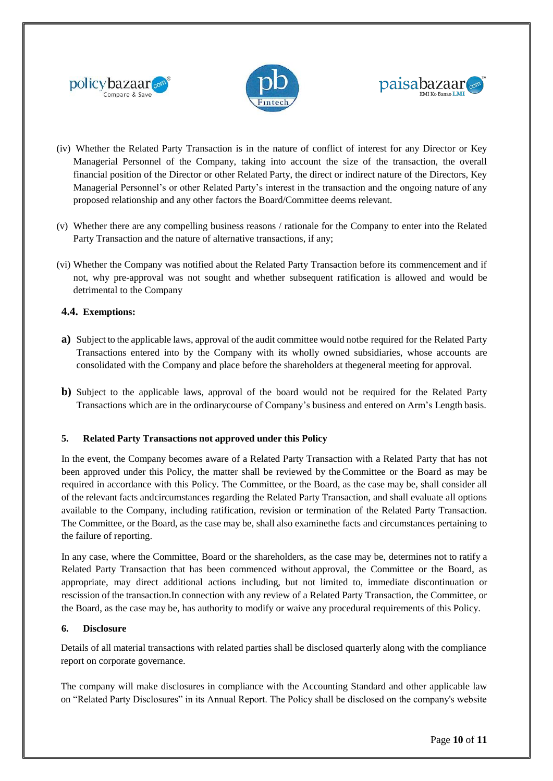





- (iv) Whether the Related Party Transaction is in the nature of conflict of interest for any Director or Key Managerial Personnel of the Company, taking into account the size of the transaction, the overall financial position of the Director or other Related Party, the direct or indirect nature of the Directors, Key Managerial Personnel's or other Related Party's interest in the transaction and the ongoing nature of any proposed relationship and any other factors the Board/Committee deems relevant.
- (v) Whether there are any compelling business reasons / rationale for the Company to enter into the Related Party Transaction and the nature of alternative transactions, if any;
- (vi) Whether the Company was notified about the Related Party Transaction before its commencement and if not, why pre-approval was not sought and whether subsequent ratification is allowed and would be detrimental to the Company

#### **4.4. Exemptions:**

- **a)** Subject to the applicable laws, approval of the audit committee would notbe required for the Related Party Transactions entered into by the Company with its wholly owned subsidiaries, whose accounts are consolidated with the Company and place before the shareholders at thegeneral meeting for approval.
- **b)** Subject to the applicable laws, approval of the board would not be required for the Related Party Transactions which are in the ordinarycourse of Company's business and entered on Arm's Length basis.

#### **5. Related Party Transactions not approved under this Policy**

In the event, the Company becomes aware of a Related Party Transaction with a Related Party that has not been approved under this Policy, the matter shall be reviewed by theCommittee or the Board as may be required in accordance with this Policy. The Committee, or the Board, as the case may be, shall consider all of the relevant facts andcircumstances regarding the Related Party Transaction, and shall evaluate all options available to the Company, including ratification, revision or termination of the Related Party Transaction. The Committee, or the Board, as the case may be, shall also examinethe facts and circumstances pertaining to the failure of reporting.

In any case, where the Committee, Board or the shareholders, as the case may be, determines not to ratify a Related Party Transaction that has been commenced without approval, the Committee or the Board, as appropriate, may direct additional actions including, but not limited to, immediate discontinuation or rescission of the transaction.In connection with any review of a Related Party Transaction, the Committee, or the Board, as the case may be, has authority to modify or waive any procedural requirements of this Policy.

#### **6. Disclosure**

Details of all material transactions with related parties shall be disclosed quarterly along with the compliance report on corporate governance.

The company will make disclosures in compliance with the Accounting Standard and other applicable law on "Related Party Disclosures" in its Annual Report. The Policy shall be disclosed on the company's website